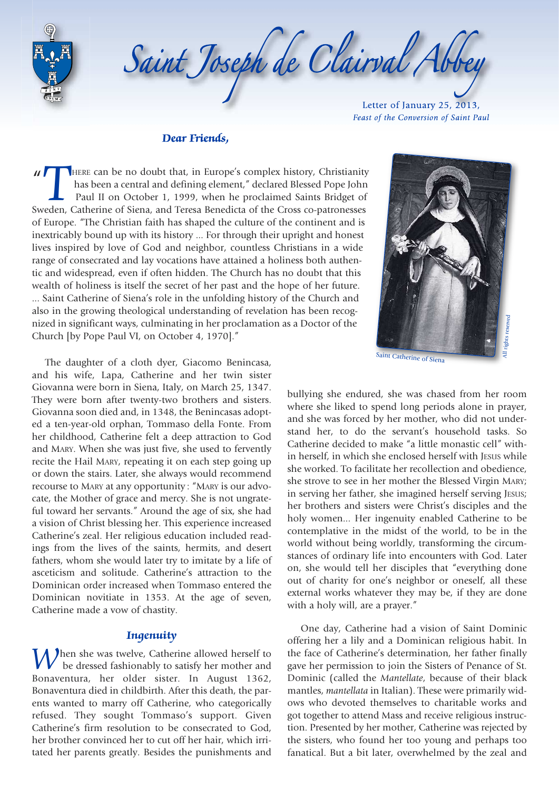

Saint Joseph de Clairval Abb

Letter of January 25, 2013, *Feast of the Conversion of Saint Paul* 

#### *Dear Friends,*

 $\mathbf{u}$  $\mathbf{r}$ THERE can be no doubt that, in Europe's complex history, Christianity<br>has been a central and defining element," declared Blessed Pope John<br>Paul II on October 1, 1999, when he proclaimed Saints Bridget of<br>Sweden, Catherine has been a central and defining element," declared Blessed Pope John Paul II on October 1, 1999, when he proclaimed Saints Bridget of of Europe. "The Christian faith has shaped the culture of the continent and is inextricably bound up with its history ... For through their upright and honest lives inspired by love of God and neighbor, countless Christians in a wide range of consecrated and lay vocations have attained a holiness both authentic and widespread, even if often hidden. The Church has no doubt that this wealth of holiness is itself the secret of her past and the hope of her future. ... Saint Catherine of Siena's role in the unfolding history of the Church and also in the growing theological understanding of revelation has been recognized in significant ways, culminating in her proclamation as a Doctor of the Church [by Pope Paul VI, on October 4, 1970]."

The daughter of a cloth dyer, Giacomo Benincasa, and his wife, Lapa, Catherine and her twin sister Giovanna were born in Siena, Italy, on March 25, 1347. They were born after twenty-two brothers and sisters. Giovanna soon died and, in 1348, the Benincasas adopted a ten-year-old orphan, Tommaso della Fonte. From her childhood, Catherine felt a deep attraction to God and MARY. When she was just five, she used to fervently recite the Hail MARY, repeating it on each step going up or down the stairs. Later, she always would recommend recourse to MARY at any opportunity : "MARY is our advocate, the Mother of grace and mercy. She is not ungrateful toward her servants." Around the age of six, she had a vision of Christ blessing her. This experience increased Catherine's zeal. Her religious education included readings from the lives of the saints, hermits, and desert fathers, whom she would later try to imitate by a life of asceticism and solitude. Catherine's attraction to the Dominican order increased when Tommaso entered the Dominican novitiate in 1353. At the age of seven, Catherine made a vow of chastity.

## *Ingenuity*

**h**en she was twelve, Catherine allowed herself to be dressed fashionably to satisfy her mother and Bonaventura, her older sister. In August 1362, Bonaventura died in childbirth. After this death, the parents wanted to marry off Catherine, who categorically refused. They sought Tommaso's support. Given Catherine's firm resolution to be consecrated to God, her brother convinced her to cut off her hair, which irritated her parents greatly. Besides the punishments and



bullying she endured, she was chased from her room where she liked to spend long periods alone in prayer, and she was forced by her mother, who did not understand her, to do the servant's household tasks. So Catherine decided to make "a little monastic cell" within herself, in which she enclosed herself with JESUS while she worked. To facilitate her recollection and obedience, she strove to see in her mother the Blessed Virgin MARY; in serving her father, she imagined herself serving JESUS; her brothers and sisters were Christ's disciples and the holy women... Her ingenuity enabled Catherine to be contemplative in the midst of the world, to be in the world without being worldly, transforming the circumstances of ordinary life into encounters with God. Later on, she would tell her disciples that "everything done out of charity for one's neighbor or oneself, all these external works whatever they may be, if they are done with a holy will, are a prayer."

One day, Catherine had a vision of Saint Dominic offering her a lily and a Dominican religious habit. In the face of Catherine's determination, her father finally gave her permission to join the Sisters of Penance of St. Dominic (called the *Mantellate*, because of their black mantles, *mantellata* in Italian). These were primarily widows who devoted themselves to charitable works and got together to attend Mass and receive religious instruction. Presented by her mother, Catherine was rejected by the sisters, who found her too young and perhaps too fanatical. But a bit later, overwhelmed by the zeal and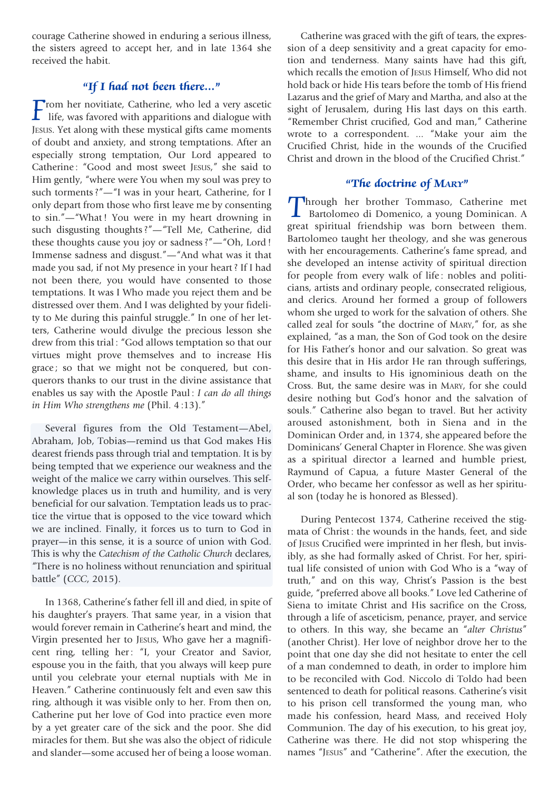courage Catherine showed in enduring a serious illness, the sisters agreed to accept her, and in late 1364 she received the habit.

# *"If I had not been there..."*

**From her novitiate, Catherine, who led a very ascetic life, was favored with apparitions and dialogue with Insurance we have a literature with these mystical gifts came moments** JESUS. Yet along with these mystical gifts came moments of doubt and anxiety, and strong temptations. After an especially strong temptation, Our Lord appeared to Catherine : "Good and most sweet JESUS," she said to Him gently, "where were You when my soul was prey to such torments ?"—"I was in your heart, Catherine, for I only depart from those who first leave me by consenting to sin."—"What ! You were in my heart drowning in such disgusting thoughts ?"—"Tell Me, Catherine, did these thoughts cause you joy or sadness ?"—"Oh, Lord ! Immense sadness and disgust."—"And what was it that made you sad, if not My presence in your heart ? If I had not been there, you would have consented to those temptations. It was I Who made you reject them and be distressed over them. And I was delighted by your fidelity to Me during this painful struggle." In one of her letters, Catherine would divulge the precious lesson she drew from this trial : "God allows temptation so that our virtues might prove themselves and to increase His grace ; so that we might not be conquered, but conquerors thanks to our trust in the divine assistance that enables us say with the Apostle Paul : *I can do all things in Him Who strengthens me* (Phil. 4 :13)."

Several figures from the Old Testament—Abel, Abraham, Job, Tobias—remind us that God makes His dearest friends pass through trial and temptation. It is by being tempted that we experience our weakness and the weight of the malice we carry within ourselves. This selfknowledge places us in truth and humility, and is very beneficial for our salvation. Temptation leads us to practice the virtue that is opposed to the vice toward which we are inclined. Finally, it forces us to turn to God in prayer—in this sense, it is a source of union with God. This is why the *Catechism of the Catholic Church* declares, "There is no holiness without renunciation and spiritual battle" (*CCC*, 2015).

In 1368, Catherine's father fell ill and died, in spite of his daughter's prayers. That same year, in a vision that would forever remain in Catherine's heart and mind, the Virgin presented her to JESUS, Who gave her a magnificent ring, telling her: "I, your Creator and Savior, espouse you in the faith, that you always will keep pure until you celebrate your eternal nuptials with Me in Heaven." Catherine continuously felt and even saw this ring, although it was visible only to her. From then on, Catherine put her love of God into practice even more by a yet greater care of the sick and the poor. She did miracles for them. But she was also the object of ridicule and slander—some accused her of being a loose woman.

Catherine was graced with the gift of tears, the expression of a deep sensitivity and a great capacity for emotion and tenderness. Many saints have had this gift, which recalls the emotion of JESUS Himself, Who did not hold back or hide His tears before the tomb of His friend Lazarus and the grief of Mary and Martha, and also at the sight of Jerusalem, during His last days on this earth. "Remember Christ crucified, God and man," Catherine wrote to a correspondent. ... "Make your aim the Crucified Christ, hide in the wounds of the Crucified Christ and drown in the blood of the Crucified Christ."

## *"The doctrine of MARY"*

**Through her brother Tommaso, Catherine met<br>Bartolomeo di Domenico, a young Dominican. A<br>great spiritual friendship was born between them** Bartolomeo di Domenico, a young Dominican. A great spiritual friendship was born between them. Bartolomeo taught her theology, and she was generous with her encouragements. Catherine's fame spread, and she developed an intense activity of spiritual direction for people from every walk of life : nobles and politicians, artists and ordinary people, consecrated religious, and clerics. Around her formed a group of followers whom she urged to work for the salvation of others. She called zeal for souls "the doctrine of MARY," for, as she explained, "as a man, the Son of God took on the desire for His Father's honor and our salvation. So great was this desire that in His ardor He ran through sufferings, shame, and insults to His ignominious death on the Cross. But, the same desire was in MARY, for she could desire nothing but God's honor and the salvation of souls." Catherine also began to travel. But her activity aroused astonishment, both in Siena and in the Dominican Order and, in 1374, she appeared before the Dominicans' General Chapter in Florence. She was given as a spiritual director a learned and humble priest, Raymund of Capua, a future Master General of the Order, who became her confessor as well as her spiritual son (today he is honored as Blessed).

During Pentecost 1374, Catherine received the stigmata of Christ : the wounds in the hands, feet, and side of JESUS Crucified were imprinted in her flesh, but invisibly, as she had formally asked of Christ. For her, spiritual life consisted of union with God Who is a "way of truth," and on this way, Christ's Passion is the best guide, "preferred above all books." Love led Catherine of Siena to imitate Christ and His sacrifice on the Cross, through a life of asceticism, penance, prayer, and service to others. In this way, she became an "*alter Christus*" (another Christ). Her love of neighbor drove her to the point that one day she did not hesitate to enter the cell of a man condemned to death, in order to implore him to be reconciled with God. Niccolo di Toldo had been sentenced to death for political reasons. Catherine's visit to his prison cell transformed the young man, who made his confession, heard Mass, and received Holy Communion. The day of his execution, to his great joy, Catherine was there. He did not stop whispering the names "JESUS" and "Catherine". After the execution, the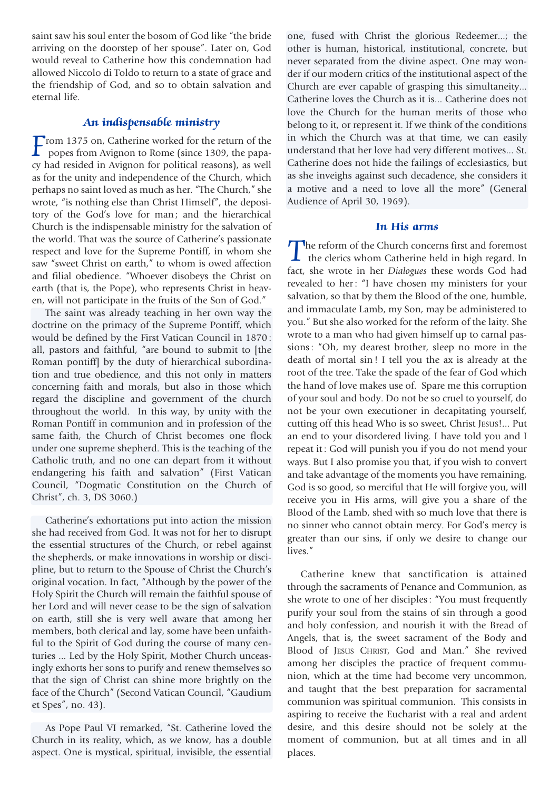saint saw his soul enter the bosom of God like "the bride arriving on the doorstep of her spouse". Later on, God would reveal to Catherine how this condemnation had allowed Niccolo di Toldo to return to a state of grace and the friendship of God, and so to obtain salvation and eternal life.

## *An indispensable ministry*

**From 1375 on, Catherine worked for the return of the**<br>popes from Avignon to Rome (since 1309, the papa-<br>cy had resided in Avignon for political reasons), as well popes from Avignon to Rome (since 1309, the papacy had resided in Avignon for political reasons), as well as for the unity and independence of the Church, which perhaps no saint loved as much as her. "The Church," she wrote, "is nothing else than Christ Himself", the depository of the God's love for man; and the hierarchical Church is the indispensable ministry for the salvation of the world. That was the source of Catherine's passionate respect and love for the Supreme Pontiff, in whom she saw "sweet Christ on earth," to whom is owed affection and filial obedience. "Whoever disobeys the Christ on earth (that is, the Pope), who represents Christ in heaven, will not participate in the fruits of the Son of God."

The saint was already teaching in her own way the doctrine on the primacy of the Supreme Pontiff, which would be defined by the First Vatican Council in 1870 : all, pastors and faithful, "are bound to submit to [the Roman pontiff] by the duty of hierarchical subordination and true obedience, and this not only in matters concerning faith and morals, but also in those which regard the discipline and government of the church throughout the world. In this way, by unity with the Roman Pontiff in communion and in profession of the same faith, the Church of Christ becomes one flock under one supreme shepherd. This is the teaching of the Catholic truth, and no one can depart from it without endangering his faith and salvation" (First Vatican Council, "Dogmatic Constitution on the Church of Christ", ch. 3, DS 3060.)

Catherine's exhortations put into action the mission she had received from God. It was not for her to disrupt the essential structures of the Church, or rebel against the shepherds, or make innovations in worship or discipline, but to return to the Spouse of Christ the Church's original vocation. In fact, "Although by the power of the Holy Spirit the Church will remain the faithful spouse of her Lord and will never cease to be the sign of salvation on earth, still she is very well aware that among her members, both clerical and lay, some have been unfaithful to the Spirit of God during the course of many centuries ... Led by the Holy Spirit, Mother Church unceasingly exhorts her sons to purify and renew themselves so that the sign of Christ can shine more brightly on the face of the Church" (Second Vatican Council, "Gaudium et Spes", no. 43).

As Pope Paul VI remarked, "St. Catherine loved the Church in its reality, which, as we know, has a double aspect. One is mystical, spiritual, invisible, the essential

one, fused with Christ the glorious Redeemer...; the other is human, historical, institutional, concrete, but never separated from the divine aspect. One may wonder if our modern critics of the institutional aspect of the Church are ever capable of grasping this simultaneity... Catherine loves the Church as it is... Catherine does not love the Church for the human merits of those who belong to it, or represent it. If we think of the conditions in which the Church was at that time, we can easily understand that her love had very different motives... St. Catherine does not hide the failings of ecclesiastics, but as she inveighs against such decadence, she considers it a motive and a need to love all the more" (General Audience of April 30, 1969).

#### *In His arms*

The reform of the Church concerns first and foremost<br>the clerics whom Catherine held in high regard. In<br>fact, she wrote in her Dislayer these words God held fact, she wrote in her *Dialogues* these words God had revealed to her: "I have chosen my ministers for your salvation, so that by them the Blood of the one, humble, and immaculate Lamb, my Son, may be administered to you." But she also worked for the reform of the laity. She wrote to a man who had given himself up to carnal passions : "Oh, my dearest brother, sleep no more in the death of mortal sin ! I tell you the ax is already at the root of the tree. Take the spade of the fear of God which the hand of love makes use of. Spare me this corruption of your soul and body. Do not be so cruel to yourself, do not be your own executioner in decapitating yourself, cutting off this head Who is so sweet, Christ JESUS!... Put an end to your disordered living. I have told you and I repeat it : God will punish you if you do not mend your ways. But I also promise you that, if you wish to convert and take advantage of the moments you have remaining, God is so good, so merciful that He will forgive you, will receive you in His arms, will give you a share of the Blood of the Lamb, shed with so much love that there is no sinner who cannot obtain mercy. For God's mercy is greater than our sins, if only we desire to change our lives."

Catherine knew that sanctification is attained through the sacraments of Penance and Communion, as she wrote to one of her disciples : "You must frequently purify your soul from the stains of sin through a good and holy confession, and nourish it with the Bread of Angels, that is, the sweet sacrament of the Body and Blood of JESUS CHRIST, God and Man." She revived among her disciples the practice of frequent communion, which at the time had become very uncommon, and taught that the best preparation for sacramental communion was spiritual communion. This consists in aspiring to receive the Eucharist with a real and ardent desire, and this desire should not be solely at the moment of communion, but at all times and in all places.